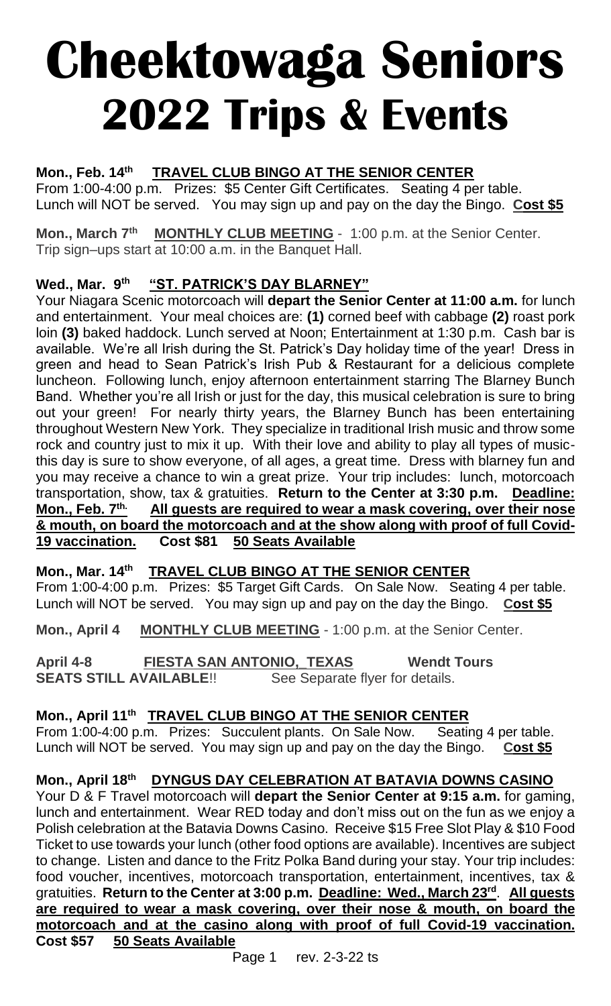# **Cheektowaga Seniors 2022 Trips & Events**

#### **Mon., Feb. 14th TRAVEL CLUB BINGO AT THE SENIOR CENTER**

From 1:00-4:00 p.m. Prizes: \$5 Center Gift Certificates. Seating 4 per table. Lunch will NOT be served. You may sign up and pay on the day the Bingo. **Cost \$5**

**Mon., March 7th MONTHLY CLUB MEETING** - 1:00 p.m. at the Senior Center. Trip sign–ups start at 10:00 a.m. in the Banquet Hall.

#### **Wed., Mar. 9th "ST. PATRICK'S DAY BLARNEY"**

Your Niagara Scenic motorcoach will **depart the Senior Center at 11:00 a.m.** for lunch and entertainment.Your meal choices are: **(1)** corned beef with cabbage **(2)** roast pork loin **(3)** baked haddock. Lunch served at Noon; Entertainment at 1:30 p.m. Cash bar is available. We're all Irish during the St. Patrick's Day holiday time of the year! Dress in green and head to Sean Patrick's Irish Pub & Restaurant for a delicious complete luncheon. Following lunch, enjoy afternoon entertainment starring The Blarney Bunch Band. Whether you're all Irish or just for the day, this musical celebration is sure to bring out your green! For nearly thirty years, the Blarney Bunch has been entertaining throughout Western New York. They specialize in traditional Irish music and throw some rock and country just to mix it up. With their love and ability to play all types of musicthis day is sure to show everyone, of all ages, a great time. Dress with blarney fun and you may receive a chance to win a great prize. Your trip includes: lunch, motorcoach transportation, show, tax & gratuities. **Return to the Center at 3:30 p.m. Deadline: Mon., Feb. 7th. All guests are required to wear a mask covering, over their nose & mouth, on board the motorcoach and at the show along with proof of full Covid-19 vaccination. Cost \$81 50 Seats Available**

**Mon., Mar. 14th TRAVEL CLUB BINGO AT THE SENIOR CENTER** From 1:00-4:00 p.m. Prizes: \$5 Target Gift Cards. On Sale Now. Seating 4 per table. Lunch will NOT be served. You may sign up and pay on the day the Bingo. **Cost \$5**

**Mon., April 4 MONTHLY CLUB MEETING** - 1:00 p.m. at the Senior Center.

**April 4-8 FIESTA SAN ANTONIO,\_TEXAS Wendt Tours SEATS STILL AVAILABLE!!** See Separate flyer for details.

# **Mon., April 11th TRAVEL CLUB BINGO AT THE SENIOR CENTER**

From 1:00-4:00 p.m. Prizes: Succulent plants. On Sale Now. Seating 4 per table. Lunch will NOT be served. You may sign up and pay on the day the Bingo. **Cost \$5**

# **Mon., April 18th DYNGUS DAY CELEBRATION AT BATAVIA DOWNS CASINO**

Your D & F Travel motorcoach will **depart the Senior Center at 9:15 a.m.** for gaming, lunch and entertainment. Wear RED today and don't miss out on the fun as we enjoy a Polish celebration at the Batavia Downs Casino. Receive \$15 Free Slot Play & \$10 Food Ticket to use towards your lunch (other food options are available). Incentives are subject to change. Listen and dance to the Fritz Polka Band during your stay. Your trip includes: food voucher, incentives, motorcoach transportation, entertainment, incentives, tax & gratuities. **Return to the Center at 3:00 p.m. Deadline: Wed., March 23rd** . **All guests are required to wear a mask covering, over their nose & mouth, on board the motorcoach and at the casino along with proof of full Covid-19 vaccination. Cost \$57 50 Seats Available**

Page 1 rev. 2-3-22 ts